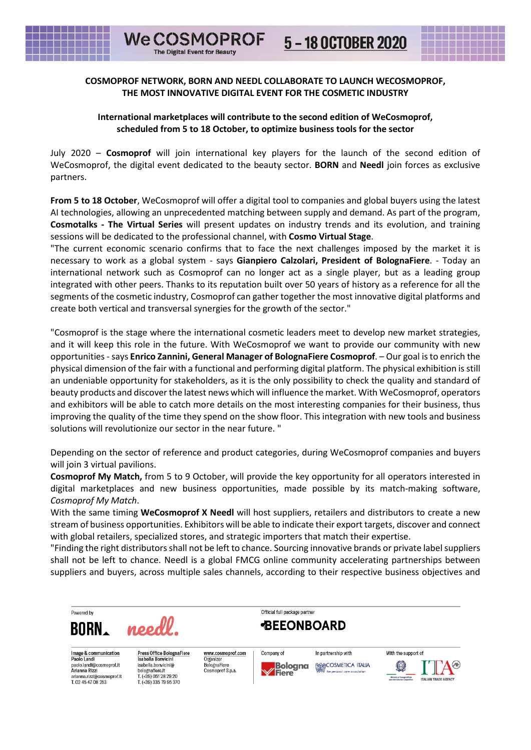------------

<u> 1959 - Jan James Barnett, marra</u>

## **COSMOPROF NETWORK, BORN AND NEEDL COLLABORATE TO LAUNCH WECOSMOPROF, THE MOST INNOVATIVE DIGITAL EVENT FOR THE COSMETIC INDUSTRY**

**WeCOSMOPROF** 

The Digital Event for Beauty

## **International marketplaces will contribute to the second edition of WeCosmoprof, scheduled from 5 to 18 October, to optimize business tools for the sector**

July 2020 – **Cosmoprof** will join international key players for the launch of the second edition of WeCosmoprof, the digital event dedicated to the beauty sector. **BORN** and **Needl** join forces as exclusive partners.

**From 5 to 18 October**, WeCosmoprof will offer a digital tool to companies and global buyers using the latest AI technologies, allowing an unprecedented matching between supply and demand. As part of the program, **Cosmotalks - The Virtual Series** will present updates on industry trends and its evolution, and training sessions will be dedicated to the professional channel, with **Cosmo Virtual Stage**.

"The current economic scenario confirms that to face the next challenges imposed by the market it is necessary to work as a global system - says **Gianpiero Calzolari, President of BolognaFiere**. - Today an international network such as Cosmoprof can no longer act as a single player, but as a leading group integrated with other peers. Thanks to its reputation built over 50 years of history as a reference for all the segments of the cosmetic industry, Cosmoprof can gather together the most innovative digital platforms and create both vertical and transversal synergies for the growth of the sector."

"Cosmoprof is the stage where the international cosmetic leaders meet to develop new market strategies, and it will keep this role in the future. With WeCosmoprof we want to provide our community with new opportunities -says **Enrico Zannini, General Manager of BolognaFiere Cosmoprof**. – Our goal is to enrich the physical dimension of the fair with a functional and performing digital platform. The physical exhibition is still an undeniable opportunity for stakeholders, as it is the only possibility to check the quality and standard of beauty products and discover the latest news which will influence the market. With WeCosmoprof, operators and exhibitors will be able to catch more details on the most interesting companies for their business, thus improving the quality of the time they spend on the show floor. This integration with new tools and business solutions will revolutionize our sector in the near future. "

Depending on the sector of reference and product categories, during WeCosmoprof companies and buyers will join 3 virtual pavilions.

**Cosmoprof My Match,** from 5 to 9 October, will provide the key opportunity for all operators interested in digital marketplaces and new business opportunities, made possible by its match-making software, *Cosmoprof My Match*.

With the same timing **WeCosmoprof X Needl** will host suppliers, retailers and distributors to create a new stream of business opportunities. Exhibitors will be able to indicate their export targets, discover and connect with global retailers, specialized stores, and strategic importers that match their expertise.

"Finding the right distributors shall not be left to chance. Sourcing innovative brands or private label suppliers shall not be left to chance. Needl is a global FMCG online community accelerating partnerships between suppliers and buyers, across multiple sales channels, according to their respective business objectives and

Official full package partner Powered by needl **BEEONBOARD BORN** With the support of Press Office BolognaFiere Image & communication<br>Paolo Landi www.cosmoprof.com Company of In partnership with Isabella Bonvicin Organize **MOOSMETICA ITALIA** BolognaFiere paolo.landi@cosmoprof.it<br>Arianna Rizzi Bologna Isabella.bonvicini@ Ø Cosmonrof S p a bolognafiere.it **Fiere** Dolognaffere.it<br>T. (+39) 051 28 29 20 irlanna.rlzzl@cosmoprof.lt ITALIAN TRADE ACENO T. 02 45 47 08 253 T. (+39) 335 79 95 370